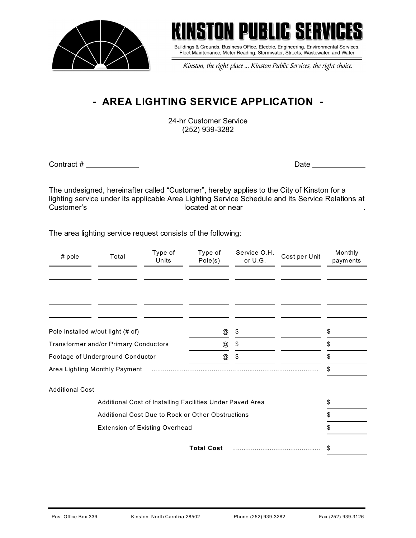



Buildings & Grounds, Business Office, Electric, Engineering, Environmental Services, Fleet Maintenance, Meter Reading, Stormwater, Streets, Wastewater, and Water

Kinston, the right place ... Kinston Public Services, the right choice.

## **- AREA LIGHTING SERVICE APPLICATION -**

24-hr Customer Service (252) 939-3282

Contract # Date

The undesigned, hereinafter called "Customer", hereby applies to the City of Kinston for a lighting service under its applicable Area Lighting Service Schedule and its Service Relations at Customer's located at or near .

The area lighting service request consists of the following:

| # pole                                                    | Total | Type of<br>Units | Type of<br>Pole(s)        | Service O.H.<br>or U.G. | Cost per Unit | Monthly<br>payments |
|-----------------------------------------------------------|-------|------------------|---------------------------|-------------------------|---------------|---------------------|
|                                                           |       |                  |                           |                         |               |                     |
|                                                           |       |                  |                           |                         |               |                     |
|                                                           |       |                  |                           |                         |               |                     |
|                                                           |       |                  |                           |                         |               |                     |
| Pole installed w/out light (# of)                         |       |                  | @                         | \$                      |               | \$                  |
| Transformer and/or Primary Conductors                     |       |                  | @                         | \$                      |               | \$                  |
| Footage of Underground Conductor                          |       |                  | $^\text{\textregistered}$ | \$                      |               | \$                  |
| Area Lighting Monthly Payment                             |       |                  |                           |                         |               | \$                  |
| <b>Additional Cost</b>                                    |       |                  |                           |                         |               |                     |
| Additional Cost of Installing Facilities Under Paved Area |       |                  |                           |                         |               | \$                  |
| <b>Additional Cost Due to Rock or Other Obstructions</b>  |       |                  |                           |                         |               | \$                  |
| <b>Extension of Existing Overhead</b>                     |       |                  |                           |                         |               |                     |
|                                                           |       |                  | <b>Total Cost</b>         |                         |               | \$                  |